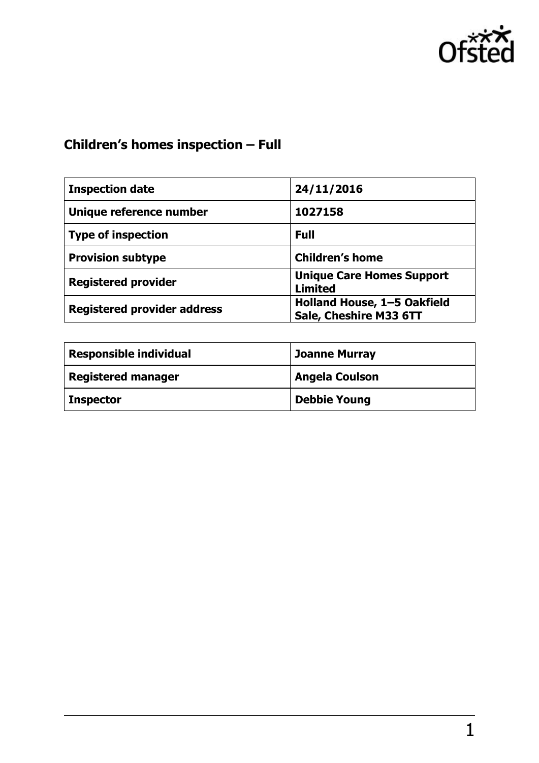

# **Children's homes inspection – Full**

| <b>Inspection date</b>             | 24/11/2016                                            |
|------------------------------------|-------------------------------------------------------|
| Unique reference number            | 1027158                                               |
| <b>Type of inspection</b>          | <b>Full</b>                                           |
| <b>Provision subtype</b>           | <b>Children's home</b>                                |
| <b>Registered provider</b>         | <b>Unique Care Homes Support</b><br><b>Limited</b>    |
| <b>Registered provider address</b> | Holland House, 1-5 Oakfield<br>Sale, Cheshire M33 6TT |

| <b>Responsible individual</b> | <b>Joanne Murray</b>  |
|-------------------------------|-----------------------|
| <b>Registered manager</b>     | <b>Angela Coulson</b> |
| <b>Inspector</b>              | <b>Debbie Young</b>   |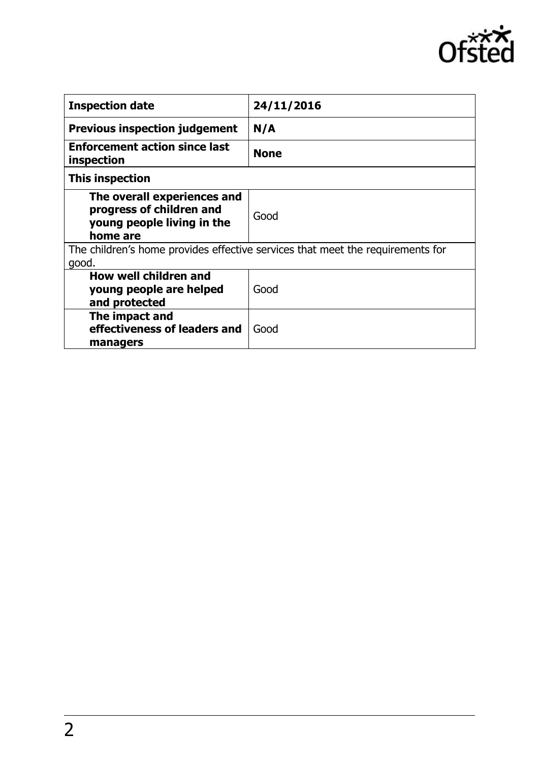

| <b>Inspection date</b>                                                                            | 24/11/2016  |
|---------------------------------------------------------------------------------------------------|-------------|
| <b>Previous inspection judgement</b>                                                              | N/A         |
| <b>Enforcement action since last</b><br>inspection                                                | <b>None</b> |
| This inspection                                                                                   |             |
| The overall experiences and<br>progress of children and<br>young people living in the<br>home are | Good        |
| The children's home provides effective services that meet the requirements for<br>good.           |             |
| How well children and<br>young people are helped<br>and protected                                 | Good        |
| The impact and<br>effectiveness of leaders and<br>managers                                        | Good        |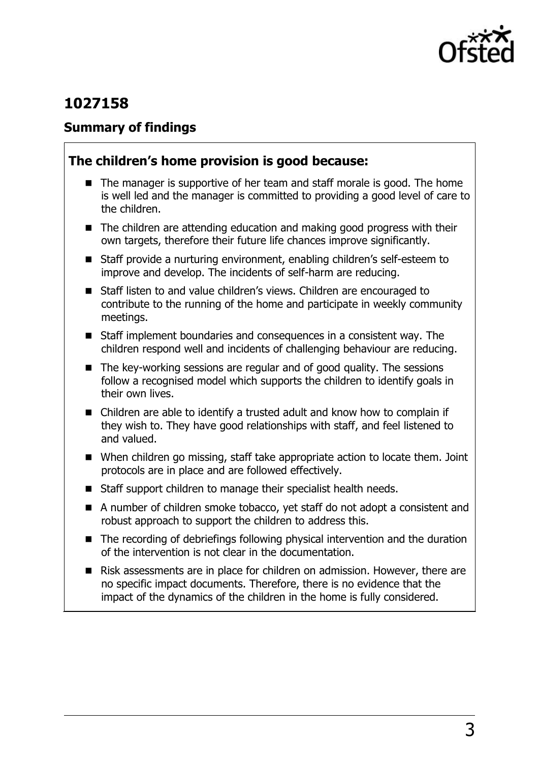

# **1027158**

### **Summary of findings**

## **The children's home provision is good because:**

- $\blacksquare$  The manager is supportive of her team and staff morale is good. The home is well led and the manager is committed to providing a good level of care to the children.
- The children are attending education and making good progress with their own targets, therefore their future life chances improve significantly.
- Staff provide a nurturing environment, enabling children's self-esteem to improve and develop. The incidents of self-harm are reducing.
- Staff listen to and value children's views. Children are encouraged to contribute to the running of the home and participate in weekly community meetings.
- Staff implement boundaries and consequences in a consistent way. The children respond well and incidents of challenging behaviour are reducing.
- The key-working sessions are regular and of good quality. The sessions follow a recognised model which supports the children to identify goals in their own lives.
- Children are able to identify a trusted adult and know how to complain if they wish to. They have good relationships with staff, and feel listened to and valued.
- When children go missing, staff take appropriate action to locate them. Joint protocols are in place and are followed effectively.
- Staff support children to manage their specialist health needs.
- A number of children smoke tobacco, yet staff do not adopt a consistent and robust approach to support the children to address this.
- The recording of debriefings following physical intervention and the duration of the intervention is not clear in the documentation.
- Risk assessments are in place for children on admission. However, there are no specific impact documents. Therefore, there is no evidence that the impact of the dynamics of the children in the home is fully considered.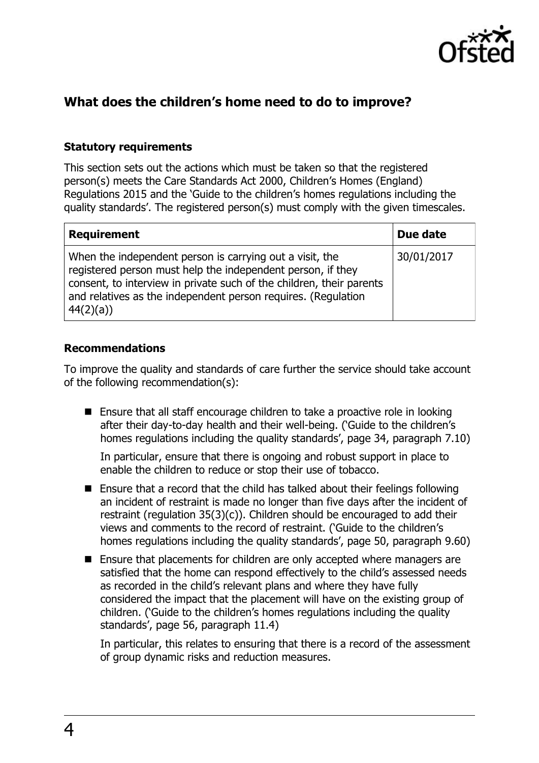

# **What does the children's home need to do to improve?**

#### **Statutory requirements**

This section sets out the actions which must be taken so that the registered person(s) meets the Care Standards Act 2000, Children's Homes (England) Regulations 2015 and the 'Guide to the children's homes regulations including the quality standards'. The registered person(s) must comply with the given timescales.

| <b>Requirement</b>                                                                                                                                                                                                                                                           | Due date   |
|------------------------------------------------------------------------------------------------------------------------------------------------------------------------------------------------------------------------------------------------------------------------------|------------|
| When the independent person is carrying out a visit, the<br>registered person must help the independent person, if they<br>consent, to interview in private such of the children, their parents<br>and relatives as the independent person requires. (Regulation<br>44(2)(a) | 30/01/2017 |

#### **Recommendations**

To improve the quality and standards of care further the service should take account of the following recommendation(s):

■ Ensure that all staff encourage children to take a proactive role in looking after their day-to-day health and their well-being. ('Guide to the children's homes regulations including the quality standards', page 34, paragraph 7.10)

In particular, ensure that there is ongoing and robust support in place to enable the children to reduce or stop their use of tobacco.

- Ensure that a record that the child has talked about their feelings following an incident of restraint is made no longer than five days after the incident of restraint (regulation 35(3)(c)). Children should be encouraged to add their views and comments to the record of restraint. ('Guide to the children's homes regulations including the quality standards', page 50, paragraph 9.60)
- Ensure that placements for children are only accepted where managers are satisfied that the home can respond effectively to the child's assessed needs as recorded in the child's relevant plans and where they have fully considered the impact that the placement will have on the existing group of children. ('Guide to the children's homes regulations including the quality standards', page 56, paragraph 11.4)

In particular, this relates to ensuring that there is a record of the assessment of group dynamic risks and reduction measures.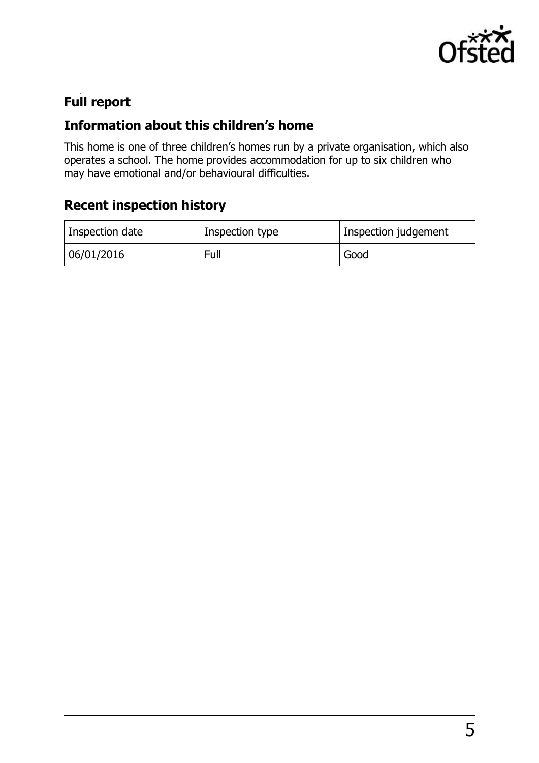

# **Full report**

# **Information about this children's home**

This home is one of three children's homes run by a private organisation, which also operates a school. The home provides accommodation for up to six children who may have emotional and/or behavioural difficulties.

# **Recent inspection history**

| Inspection date | Inspection type | Inspection judgement |
|-----------------|-----------------|----------------------|
| 06/01/2016      | Full            | Good                 |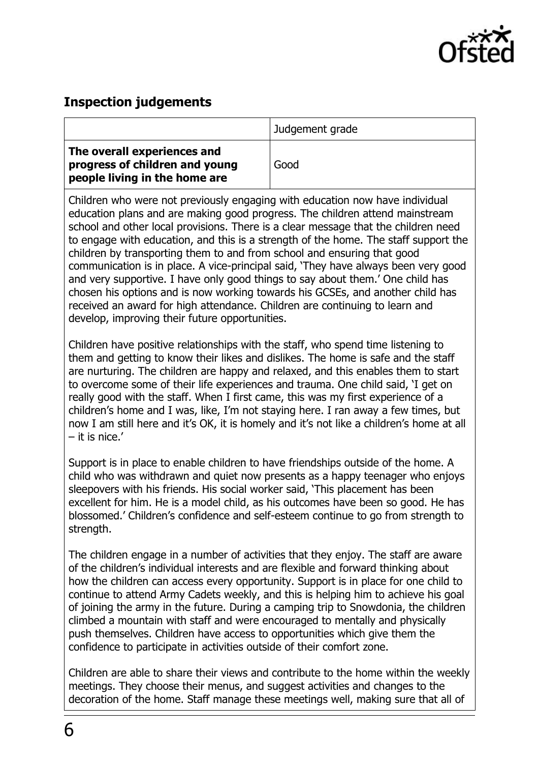

### **Inspection judgements**

|                                                                                                | Judgement grade |
|------------------------------------------------------------------------------------------------|-----------------|
| The overall experiences and<br>progress of children and young<br>people living in the home are | Good            |

Children who were not previously engaging with education now have individual education plans and are making good progress. The children attend mainstream school and other local provisions. There is a clear message that the children need to engage with education, and this is a strength of the home. The staff support the children by transporting them to and from school and ensuring that good communication is in place. A vice-principal said, 'They have always been very good and very supportive. I have only good things to say about them.' One child has chosen his options and is now working towards his GCSEs, and another child has received an award for high attendance. Children are continuing to learn and develop, improving their future opportunities.

Children have positive relationships with the staff, who spend time listening to them and getting to know their likes and dislikes. The home is safe and the staff are nurturing. The children are happy and relaxed, and this enables them to start to overcome some of their life experiences and trauma. One child said, 'I get on really good with the staff. When I first came, this was my first experience of a children's home and I was, like, I'm not staying here. I ran away a few times, but now I am still here and it's OK, it is homely and it's not like a children's home at all – it is nice.'

Support is in place to enable children to have friendships outside of the home. A child who was withdrawn and quiet now presents as a happy teenager who enjoys sleepovers with his friends. His social worker said, 'This placement has been excellent for him. He is a model child, as his outcomes have been so good. He has blossomed.' Children's confidence and self-esteem continue to go from strength to strength.

The children engage in a number of activities that they enjoy. The staff are aware of the children's individual interests and are flexible and forward thinking about how the children can access every opportunity. Support is in place for one child to continue to attend Army Cadets weekly, and this is helping him to achieve his goal of joining the army in the future. During a camping trip to Snowdonia, the children climbed a mountain with staff and were encouraged to mentally and physically push themselves. Children have access to opportunities which give them the confidence to participate in activities outside of their comfort zone.

Children are able to share their views and contribute to the home within the weekly meetings. They choose their menus, and suggest activities and changes to the decoration of the home. Staff manage these meetings well, making sure that all of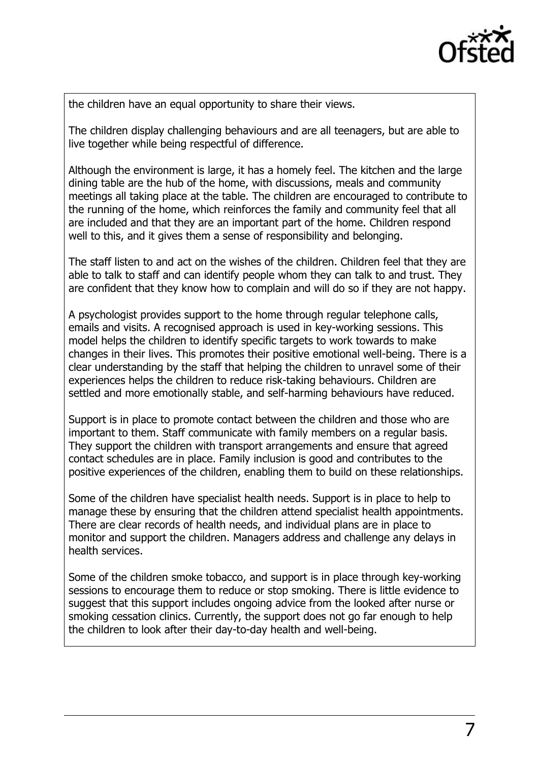

the children have an equal opportunity to share their views.

The children display challenging behaviours and are all teenagers, but are able to live together while being respectful of difference.

Although the environment is large, it has a homely feel. The kitchen and the large dining table are the hub of the home, with discussions, meals and community meetings all taking place at the table. The children are encouraged to contribute to the running of the home, which reinforces the family and community feel that all are included and that they are an important part of the home. Children respond well to this, and it gives them a sense of responsibility and belonging.

The staff listen to and act on the wishes of the children. Children feel that they are able to talk to staff and can identify people whom they can talk to and trust. They are confident that they know how to complain and will do so if they are not happy.

A psychologist provides support to the home through regular telephone calls, emails and visits. A recognised approach is used in key-working sessions. This model helps the children to identify specific targets to work towards to make changes in their lives. This promotes their positive emotional well-being. There is a clear understanding by the staff that helping the children to unravel some of their experiences helps the children to reduce risk-taking behaviours. Children are settled and more emotionally stable, and self-harming behaviours have reduced.

Support is in place to promote contact between the children and those who are important to them. Staff communicate with family members on a regular basis. They support the children with transport arrangements and ensure that agreed contact schedules are in place. Family inclusion is good and contributes to the positive experiences of the children, enabling them to build on these relationships.

Some of the children have specialist health needs. Support is in place to help to manage these by ensuring that the children attend specialist health appointments. There are clear records of health needs, and individual plans are in place to monitor and support the children. Managers address and challenge any delays in health services.

Some of the children smoke tobacco, and support is in place through key-working sessions to encourage them to reduce or stop smoking. There is little evidence to suggest that this support includes ongoing advice from the looked after nurse or smoking cessation clinics. Currently, the support does not go far enough to help the children to look after their day-to-day health and well-being.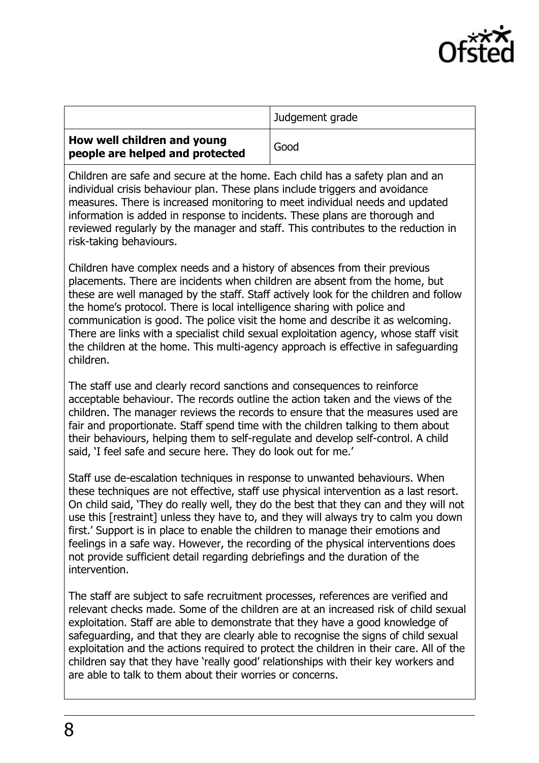

|                                                                | Judgement grade |
|----------------------------------------------------------------|-----------------|
| How well children and young<br>people are helped and protected | Good            |

Children are safe and secure at the home. Each child has a safety plan and an individual crisis behaviour plan. These plans include triggers and avoidance measures. There is increased monitoring to meet individual needs and updated information is added in response to incidents. These plans are thorough and reviewed regularly by the manager and staff. This contributes to the reduction in risk-taking behaviours.

Children have complex needs and a history of absences from their previous placements. There are incidents when children are absent from the home, but these are well managed by the staff. Staff actively look for the children and follow the home's protocol. There is local intelligence sharing with police and communication is good. The police visit the home and describe it as welcoming. There are links with a specialist child sexual exploitation agency, whose staff visit the children at the home. This multi-agency approach is effective in safeguarding children.

The staff use and clearly record sanctions and consequences to reinforce acceptable behaviour. The records outline the action taken and the views of the children. The manager reviews the records to ensure that the measures used are fair and proportionate. Staff spend time with the children talking to them about their behaviours, helping them to self-regulate and develop self-control. A child said, 'I feel safe and secure here. They do look out for me.'

Staff use de-escalation techniques in response to unwanted behaviours. When these techniques are not effective, staff use physical intervention as a last resort. On child said, 'They do really well, they do the best that they can and they will not use this [restraint] unless they have to, and they will always try to calm you down first.' Support is in place to enable the children to manage their emotions and feelings in a safe way. However, the recording of the physical interventions does not provide sufficient detail regarding debriefings and the duration of the intervention.

The staff are subject to safe recruitment processes, references are verified and relevant checks made. Some of the children are at an increased risk of child sexual exploitation. Staff are able to demonstrate that they have a good knowledge of safeguarding, and that they are clearly able to recognise the signs of child sexual exploitation and the actions required to protect the children in their care. All of the children say that they have 'really good' relationships with their key workers and are able to talk to them about their worries or concerns.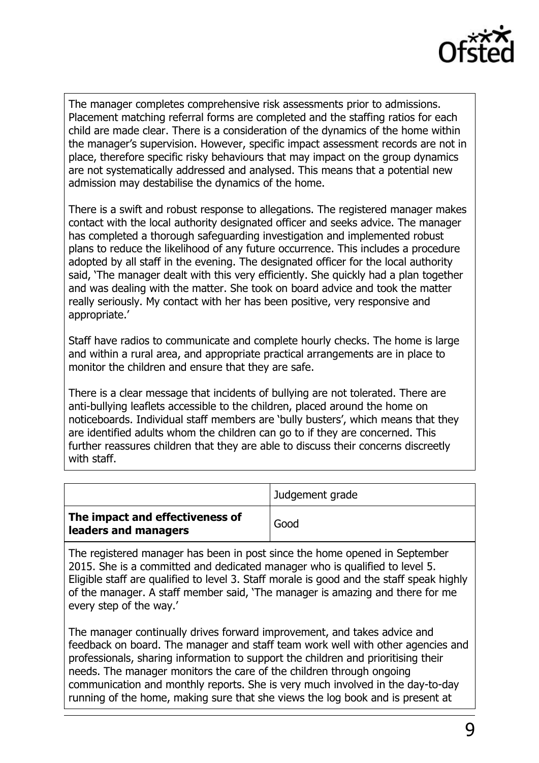

The manager completes comprehensive risk assessments prior to admissions. Placement matching referral forms are completed and the staffing ratios for each child are made clear. There is a consideration of the dynamics of the home within the manager's supervision. However, specific impact assessment records are not in place, therefore specific risky behaviours that may impact on the group dynamics are not systematically addressed and analysed. This means that a potential new admission may destabilise the dynamics of the home.

There is a swift and robust response to allegations. The registered manager makes contact with the local authority designated officer and seeks advice. The manager has completed a thorough safeguarding investigation and implemented robust plans to reduce the likelihood of any future occurrence. This includes a procedure adopted by all staff in the evening. The designated officer for the local authority said, 'The manager dealt with this very efficiently. She quickly had a plan together and was dealing with the matter. She took on board advice and took the matter really seriously. My contact with her has been positive, very responsive and appropriate.'

Staff have radios to communicate and complete hourly checks. The home is large and within a rural area, and appropriate practical arrangements are in place to monitor the children and ensure that they are safe.

There is a clear message that incidents of bullying are not tolerated. There are anti-bullying leaflets accessible to the children, placed around the home on noticeboards. Individual staff members are 'bully busters', which means that they are identified adults whom the children can go to if they are concerned. This further reassures children that they are able to discuss their concerns discreetly with staff.

|                                                         | Judgement grade |
|---------------------------------------------------------|-----------------|
| The impact and effectiveness of<br>leaders and managers | Good            |

The registered manager has been in post since the home opened in September 2015. She is a committed and dedicated manager who is qualified to level 5. Eligible staff are qualified to level 3. Staff morale is good and the staff speak highly of the manager. A staff member said, 'The manager is amazing and there for me every step of the way.'

The manager continually drives forward improvement, and takes advice and feedback on board. The manager and staff team work well with other agencies and professionals, sharing information to support the children and prioritising their needs. The manager monitors the care of the children through ongoing communication and monthly reports. She is very much involved in the day-to-day running of the home, making sure that she views the log book and is present at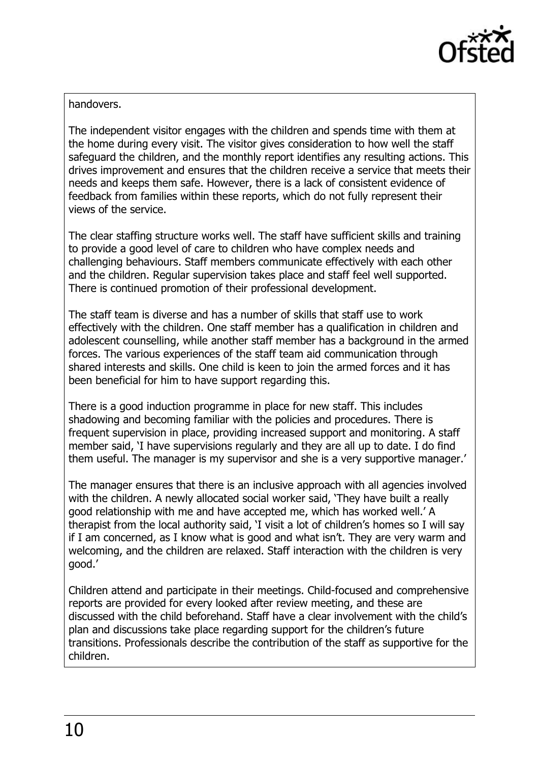

#### handovers.

The independent visitor engages with the children and spends time with them at the home during every visit. The visitor gives consideration to how well the staff safeguard the children, and the monthly report identifies any resulting actions. This drives improvement and ensures that the children receive a service that meets their needs and keeps them safe. However, there is a lack of consistent evidence of feedback from families within these reports, which do not fully represent their views of the service.

The clear staffing structure works well. The staff have sufficient skills and training to provide a good level of care to children who have complex needs and challenging behaviours. Staff members communicate effectively with each other and the children. Regular supervision takes place and staff feel well supported. There is continued promotion of their professional development.

The staff team is diverse and has a number of skills that staff use to work effectively with the children. One staff member has a qualification in children and adolescent counselling, while another staff member has a background in the armed forces. The various experiences of the staff team aid communication through shared interests and skills. One child is keen to join the armed forces and it has been beneficial for him to have support regarding this.

There is a good induction programme in place for new staff. This includes shadowing and becoming familiar with the policies and procedures. There is frequent supervision in place, providing increased support and monitoring. A staff member said, 'I have supervisions regularly and they are all up to date. I do find them useful. The manager is my supervisor and she is a very supportive manager.'

The manager ensures that there is an inclusive approach with all agencies involved with the children. A newly allocated social worker said, 'They have built a really good relationship with me and have accepted me, which has worked well.' A therapist from the local authority said, 'I visit a lot of children's homes so I will say if I am concerned, as I know what is good and what isn't. They are very warm and welcoming, and the children are relaxed. Staff interaction with the children is very good.'

Children attend and participate in their meetings. Child-focused and comprehensive reports are provided for every looked after review meeting, and these are discussed with the child beforehand. Staff have a clear involvement with the child's plan and discussions take place regarding support for the children's future transitions. Professionals describe the contribution of the staff as supportive for the children.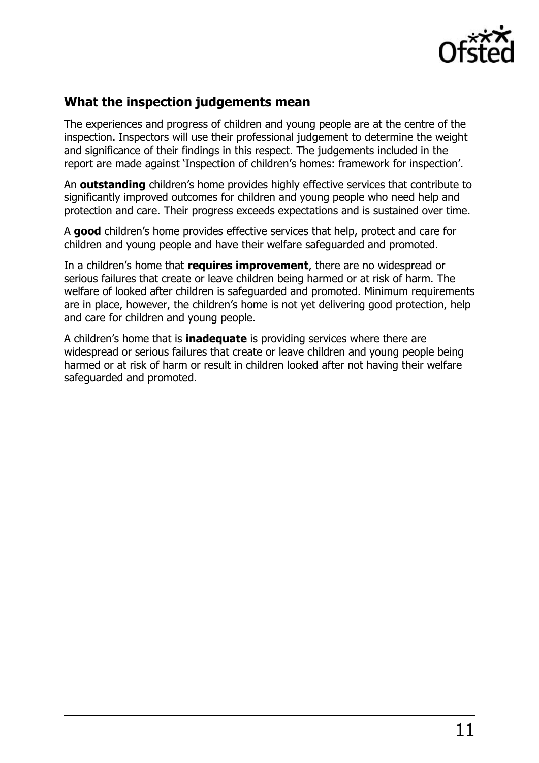

### **What the inspection judgements mean**

The experiences and progress of children and young people are at the centre of the inspection. Inspectors will use their professional judgement to determine the weight and significance of their findings in this respect. The judgements included in the report are made against 'Inspection of children's homes: framework for inspection'.

An **outstanding** children's home provides highly effective services that contribute to significantly improved outcomes for children and young people who need help and protection and care. Their progress exceeds expectations and is sustained over time.

A **good** children's home provides effective services that help, protect and care for children and young people and have their welfare safeguarded and promoted.

In a children's home that **requires improvement**, there are no widespread or serious failures that create or leave children being harmed or at risk of harm. The welfare of looked after children is safeguarded and promoted. Minimum requirements are in place, however, the children's home is not yet delivering good protection, help and care for children and young people.

A children's home that is **inadequate** is providing services where there are widespread or serious failures that create or leave children and young people being harmed or at risk of harm or result in children looked after not having their welfare safeguarded and promoted.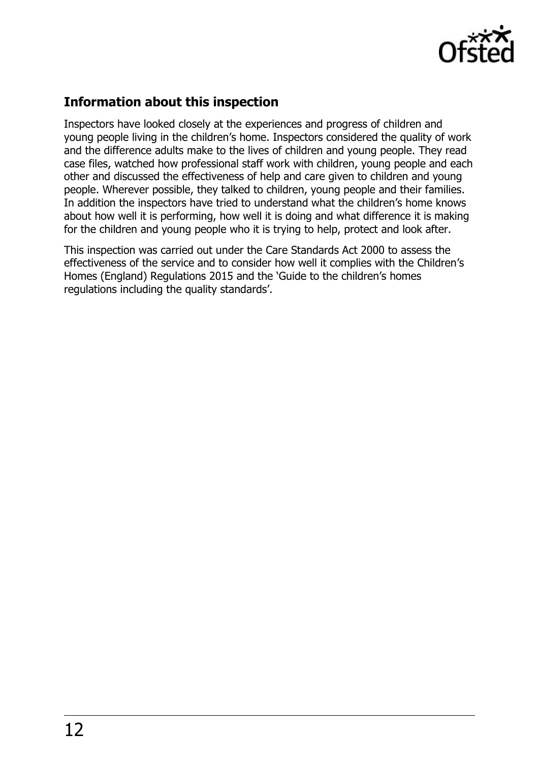

# **Information about this inspection**

Inspectors have looked closely at the experiences and progress of children and young people living in the children's home. Inspectors considered the quality of work and the difference adults make to the lives of children and young people. They read case files, watched how professional staff work with children, young people and each other and discussed the effectiveness of help and care given to children and young people. Wherever possible, they talked to children, young people and their families. In addition the inspectors have tried to understand what the children's home knows about how well it is performing, how well it is doing and what difference it is making for the children and young people who it is trying to help, protect and look after.

This inspection was carried out under the Care Standards Act 2000 to assess the effectiveness of the service and to consider how well it complies with the Children's Homes (England) Regulations 2015 and the 'Guide to the children's homes regulations including the quality standards'.